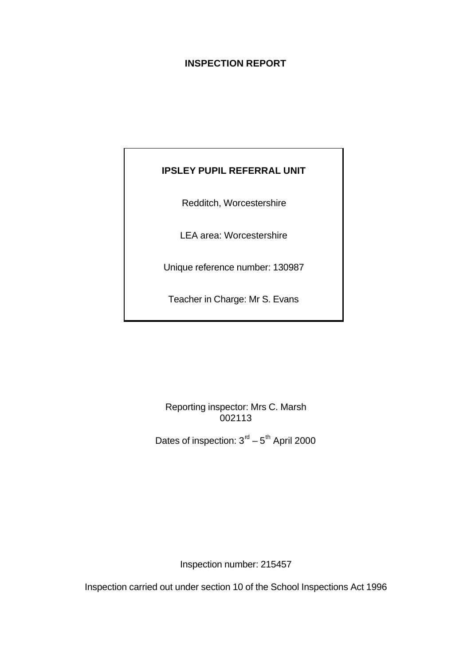# **INSPECTION REPORT**

# **IPSLEY PUPIL REFERRAL UNIT**

Redditch, Worcestershire

LEA area: Worcestershire

Unique reference number: 130987

Teacher in Charge: Mr S. Evans

Reporting inspector: Mrs C. Marsh 002113

Dates of inspection:  $3<sup>rd</sup> - 5<sup>th</sup>$  April 2000

Inspection number: 215457

Inspection carried out under section 10 of the School Inspections Act 1996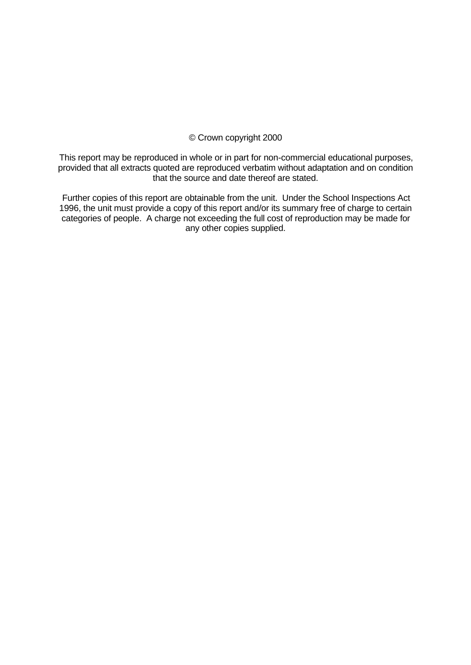## © Crown copyright 2000

This report may be reproduced in whole or in part for non-commercial educational purposes, provided that all extracts quoted are reproduced verbatim without adaptation and on condition that the source and date thereof are stated.

Further copies of this report are obtainable from the unit. Under the School Inspections Act 1996, the unit must provide a copy of this report and/or its summary free of charge to certain categories of people. A charge not exceeding the full cost of reproduction may be made for any other copies supplied.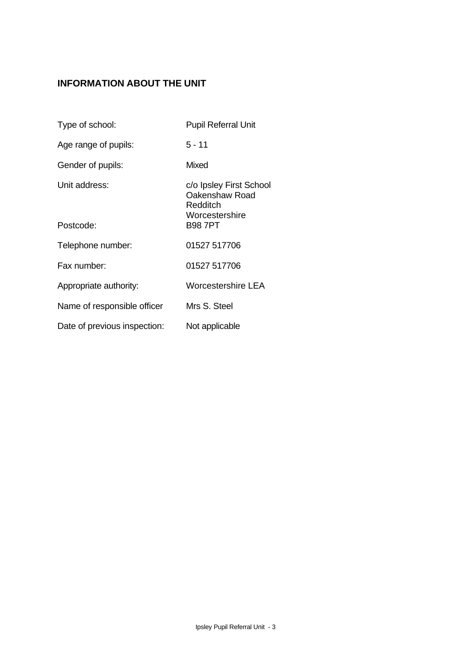# **INFORMATION ABOUT THE UNIT**

| Type of school:              | <b>Pupil Referral Unit</b>                                              |
|------------------------------|-------------------------------------------------------------------------|
| Age range of pupils:         | $5 - 11$                                                                |
| Gender of pupils:            | Mixed                                                                   |
| Unit address:                | c/o Ipsley First School<br>Oakenshaw Road<br>Redditch<br>Worcestershire |
| Postcode:                    | <b>B987PT</b>                                                           |
| Telephone number:            | 01527 517706                                                            |
| Fax number:                  | 01527 517706                                                            |
| Appropriate authority:       | Worcestershire LEA                                                      |
| Name of responsible officer  | Mrs S. Steel                                                            |
| Date of previous inspection: | Not applicable                                                          |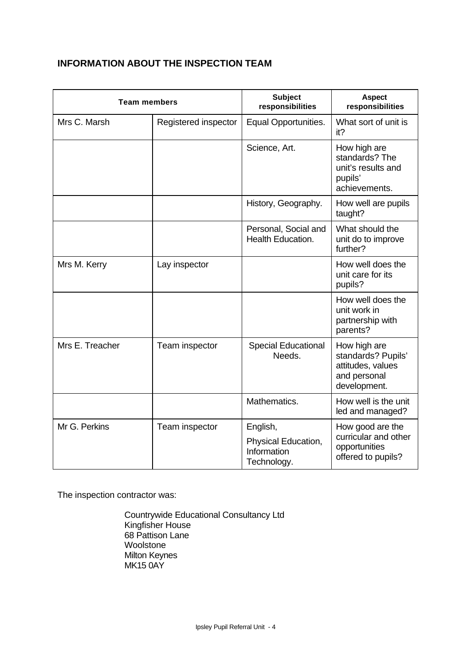# **INFORMATION ABOUT THE INSPECTION TEAM**

| <b>Team members</b> |                      | <b>Subject</b><br>responsibilities                | <b>Aspect</b><br>responsibilities                                                       |
|---------------------|----------------------|---------------------------------------------------|-----------------------------------------------------------------------------------------|
| Mrs C. Marsh        | Registered inspector | Equal Opportunities.                              | What sort of unit is<br>it?                                                             |
|                     |                      | Science, Art.                                     | How high are<br>standards? The<br>unit's results and<br>pupils'<br>achievements.        |
|                     |                      | History, Geography.                               | How well are pupils<br>taught?                                                          |
|                     |                      | Personal, Social and<br>Health Education.         | What should the<br>unit do to improve<br>further?                                       |
| Mrs M. Kerry        | Lay inspector        |                                                   | How well does the<br>unit care for its<br>pupils?                                       |
|                     |                      |                                                   | How well does the<br>unit work in<br>partnership with<br>parents?                       |
| Mrs E. Treacher     | Team inspector       | <b>Special Educational</b><br>Needs.              | How high are<br>standards? Pupils'<br>attitudes, values<br>and personal<br>development. |
|                     |                      | Mathematics.                                      | How well is the unit<br>led and managed?                                                |
| Mr G. Perkins       | Team inspector       | English,                                          | How good are the<br>curricular and other                                                |
|                     |                      | Physical Education,<br>Information<br>Technology. | opportunities<br>offered to pupils?                                                     |

The inspection contractor was:

Countrywide Educational Consultancy Ltd Kingfisher House 68 Pattison Lane Woolstone Milton Keynes MK15 0AY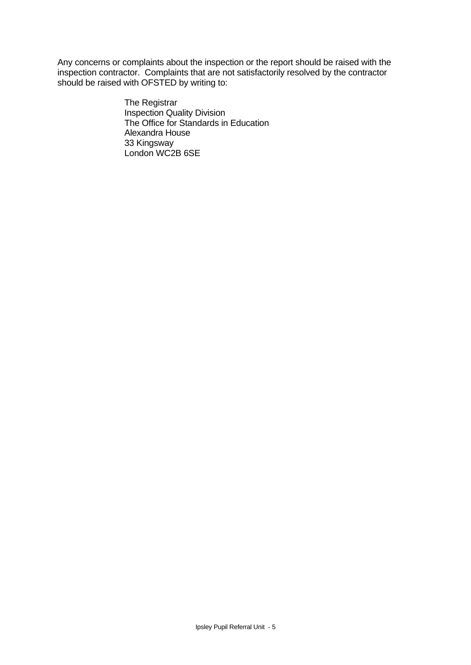Any concerns or complaints about the inspection or the report should be raised with the inspection contractor. Complaints that are not satisfactorily resolved by the contractor should be raised with OFSTED by writing to:

> The Registrar Inspection Quality Division The Office for Standards in Education Alexandra House 33 Kingsway London WC2B 6SE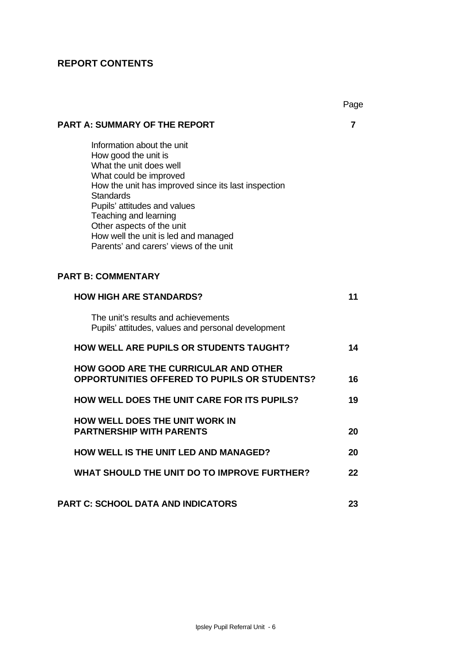# **REPORT CONTENTS**

|                                                                                                                                                                                                                                                                                                                                                            | Page |
|------------------------------------------------------------------------------------------------------------------------------------------------------------------------------------------------------------------------------------------------------------------------------------------------------------------------------------------------------------|------|
| <b>PART A: SUMMARY OF THE REPORT</b>                                                                                                                                                                                                                                                                                                                       | 7    |
| Information about the unit<br>How good the unit is<br>What the unit does well<br>What could be improved<br>How the unit has improved since its last inspection<br><b>Standards</b><br>Pupils' attitudes and values<br>Teaching and learning<br>Other aspects of the unit<br>How well the unit is led and managed<br>Parents' and carers' views of the unit |      |
| <b>PART B: COMMENTARY</b>                                                                                                                                                                                                                                                                                                                                  |      |
| <b>HOW HIGH ARE STANDARDS?</b>                                                                                                                                                                                                                                                                                                                             | 11   |
| The unit's results and achievements<br>Pupils' attitudes, values and personal development                                                                                                                                                                                                                                                                  |      |
| <b>HOW WELL ARE PUPILS OR STUDENTS TAUGHT?</b>                                                                                                                                                                                                                                                                                                             | 14   |
| HOW GOOD ARE THE CURRICULAR AND OTHER<br><b>OPPORTUNITIES OFFERED TO PUPILS OR STUDENTS?</b>                                                                                                                                                                                                                                                               | 16   |
| <b>HOW WELL DOES THE UNIT CARE FOR ITS PUPILS?</b>                                                                                                                                                                                                                                                                                                         | 19   |
| <b>HOW WELL DOES THE UNIT WORK IN</b><br><b>PARTNERSHIP WITH PARENTS</b>                                                                                                                                                                                                                                                                                   | 20   |
| <b>HOW WELL IS THE UNIT LED AND MANAGED?</b>                                                                                                                                                                                                                                                                                                               | 20   |
| <b>WHAT SHOULD THE UNIT DO TO IMPROVE FURTHER?</b>                                                                                                                                                                                                                                                                                                         | 22   |
| <b>PART C: SCHOOL DATA AND INDICATORS</b>                                                                                                                                                                                                                                                                                                                  | 23   |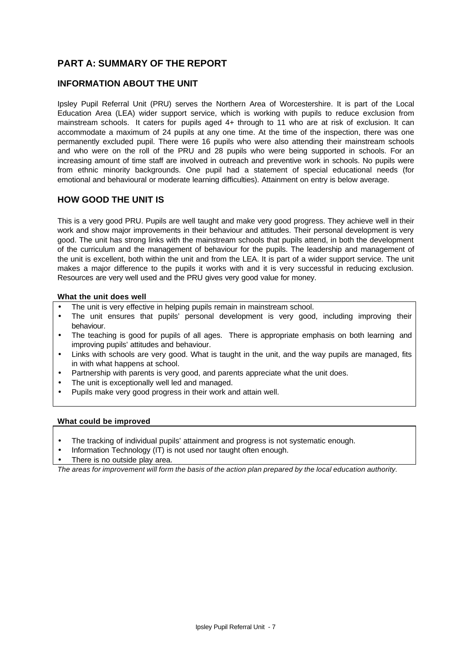# **PART A: SUMMARY OF THE REPORT**

## **INFORMATION ABOUT THE UNIT**

Ipsley Pupil Referral Unit (PRU) serves the Northern Area of Worcestershire. It is part of the Local Education Area (LEA) wider support service, which is working with pupils to reduce exclusion from mainstream schools. It caters for pupils aged 4+ through to 11 who are at risk of exclusion. It can accommodate a maximum of 24 pupils at any one time. At the time of the inspection, there was one permanently excluded pupil. There were 16 pupils who were also attending their mainstream schools and who were on the roll of the PRU and 28 pupils who were being supported in schools. For an increasing amount of time staff are involved in outreach and preventive work in schools. No pupils were from ethnic minority backgrounds. One pupil had a statement of special educational needs (for emotional and behavioural or moderate learning difficulties). Attainment on entry is below average.

#### **HOW GOOD THE UNIT IS**

This is a very good PRU. Pupils are well taught and make very good progress. They achieve well in their work and show major improvements in their behaviour and attitudes. Their personal development is very good. The unit has strong links with the mainstream schools that pupils attend, in both the development of the curriculum and the management of behaviour for the pupils. The leadership and management of the unit is excellent, both within the unit and from the LEA. It is part of a wider support service. The unit makes a major difference to the pupils it works with and it is very successful in reducing exclusion. Resources are very well used and the PRU gives very good value for money.

#### **What the unit does well**

- The unit is very effective in helping pupils remain in mainstream school.
- The unit ensures that pupils' personal development is very good, including improving their behaviour.
- The teaching is good for pupils of all ages. There is appropriate emphasis on both learning and improving pupils' attitudes and behaviour.
- Links with schools are very good. What is taught in the unit, and the way pupils are managed, fits in with what happens at school.
- Partnership with parents is very good, and parents appreciate what the unit does.
- The unit is exceptionally well led and managed.
- Pupils make very good progress in their work and attain well.

#### **What could be improved**

- The tracking of individual pupils' attainment and progress is not systematic enough.
- Information Technology (IT) is not used nor taught often enough.
- There is no outside play area.

*The areas for improvement will form the basis of the action plan prepared by the local education authority.*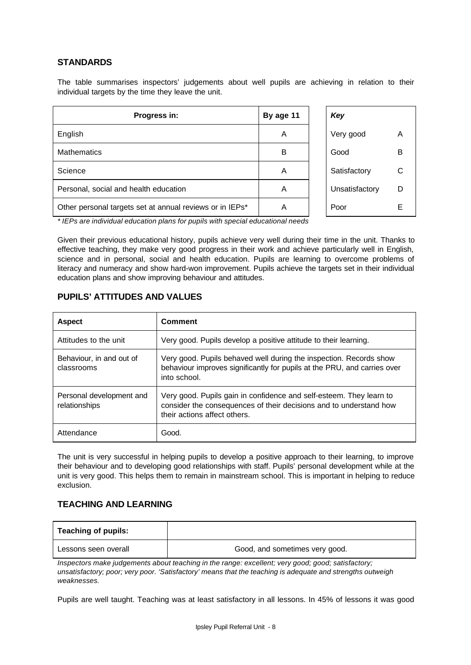#### **STANDARDS**

The table summarises inspectors' judgements about well pupils are achieving in relation to their individual targets by the time they leave the unit.

| Progress in:                                             | By age 11 | Key            |   |
|----------------------------------------------------------|-----------|----------------|---|
| English                                                  | A         | Very good      | A |
| <b>Mathematics</b>                                       | в         | Good           | B |
| Science                                                  | A         | Satisfactory   | C |
| Personal, social and health education                    | A         | Unsatisfactory | D |
| Other personal targets set at annual reviews or in IEPs* | Α         | Poor           | F |

| Key            |   |
|----------------|---|
| Very good      | А |
| Good           | R |
| Satisfactory   | C |
| Unsatisfactory | D |
| Poor           | F |

*\* IEPs are individual education plans for pupils with special educational needs*

Given their previous educational history, pupils achieve very well during their time in the unit. Thanks to effective teaching, they make very good progress in their work and achieve particularly well in English, science and in personal, social and health education. Pupils are learning to overcome problems of literacy and numeracy and show hard-won improvement. Pupils achieve the targets set in their individual education plans and show improving behaviour and attitudes.

#### **PUPILS' ATTITUDES AND VALUES**

| <b>Aspect</b>                             | <b>Comment</b>                                                                                                                                                            |
|-------------------------------------------|---------------------------------------------------------------------------------------------------------------------------------------------------------------------------|
| Attitudes to the unit                     | Very good. Pupils develop a positive attitude to their learning.                                                                                                          |
| Behaviour, in and out of<br>classrooms    | Very good. Pupils behaved well during the inspection. Records show<br>behaviour improves significantly for pupils at the PRU, and carries over<br>into school.            |
| Personal development and<br>relationships | Very good. Pupils gain in confidence and self-esteem. They learn to<br>consider the consequences of their decisions and to understand how<br>their actions affect others. |
| Attendance                                | Good.                                                                                                                                                                     |

The unit is very successful in helping pupils to develop a positive approach to their learning, to improve their behaviour and to developing good relationships with staff. Pupils' personal development while at the unit is very good. This helps them to remain in mainstream school. This is important in helping to reduce exclusion.

#### **TEACHING AND LEARNING**

| <b>Teaching of pupils:</b> |                                |
|----------------------------|--------------------------------|
| Lessons seen overall       | Good, and sometimes very good. |

*Inspectors make judgements about teaching in the range: excellent; very good; good; satisfactory; unsatisfactory; poor; very poor. 'Satisfactory' means that the teaching is adequate and strengths outweigh weaknesses.*

Pupils are well taught. Teaching was at least satisfactory in all lessons. In 45% of lessons it was good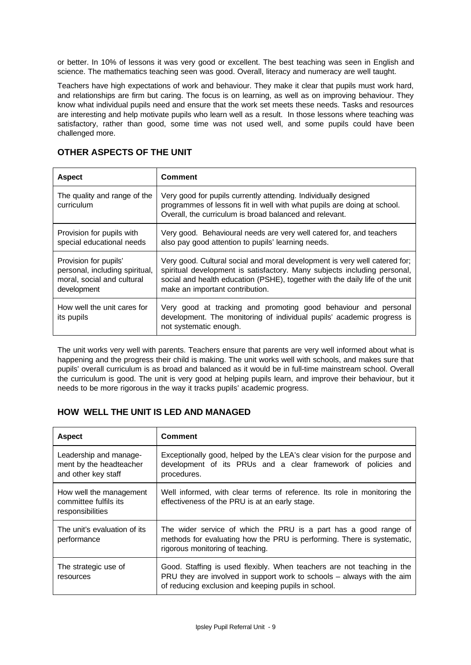or better. In 10% of lessons it was very good or excellent. The best teaching was seen in English and science. The mathematics teaching seen was good. Overall, literacy and numeracy are well taught.

Teachers have high expectations of work and behaviour. They make it clear that pupils must work hard, and relationships are firm but caring. The focus is on learning, as well as on improving behaviour. They know what individual pupils need and ensure that the work set meets these needs. Tasks and resources are interesting and help motivate pupils who learn well as a result. In those lessons where teaching was satisfactory, rather than good, some time was not used well, and some pupils could have been challenged more.

| <b>Aspect</b>                                                                                        | <b>Comment</b>                                                                                                                                                                                                                                                            |
|------------------------------------------------------------------------------------------------------|---------------------------------------------------------------------------------------------------------------------------------------------------------------------------------------------------------------------------------------------------------------------------|
| The quality and range of the<br>curriculum                                                           | Very good for pupils currently attending. Individually designed<br>programmes of lessons fit in well with what pupils are doing at school.<br>Overall, the curriculum is broad balanced and relevant.                                                                     |
| Provision for pupils with<br>special educational needs                                               | Very good. Behavioural needs are very well catered for, and teachers<br>also pay good attention to pupils' learning needs.                                                                                                                                                |
| Provision for pupils'<br>personal, including spiritual,<br>moral, social and cultural<br>development | Very good. Cultural social and moral development is very well catered for;<br>spiritual development is satisfactory. Many subjects including personal,<br>social and health education (PSHE), together with the daily life of the unit<br>make an important contribution. |
| How well the unit cares for<br>its pupils                                                            | Very good at tracking and promoting good behaviour and personal<br>development. The monitoring of individual pupils' academic progress is<br>not systematic enough.                                                                                                       |

## **OTHER ASPECTS OF THE UNIT**

The unit works very well with parents. Teachers ensure that parents are very well informed about what is happening and the progress their child is making. The unit works well with schools, and makes sure that pupils' overall curriculum is as broad and balanced as it would be in full-time mainstream school. Overall the curriculum is good. The unit is very good at helping pupils learn, and improve their behaviour, but it needs to be more rigorous in the way it tracks pupils' academic progress.

# **HOW WELL THE UNIT IS LED AND MANAGED**

| <b>Aspect</b>                                                            | <b>Comment</b>                                                                                                                                                                                          |
|--------------------------------------------------------------------------|---------------------------------------------------------------------------------------------------------------------------------------------------------------------------------------------------------|
| Leadership and manage-<br>ment by the headteacher<br>and other key staff | Exceptionally good, helped by the LEA's clear vision for the purpose and<br>development of its PRUs and a clear framework of policies and<br>procedures.                                                |
| How well the management<br>committee fulfils its<br>responsibilities     | Well informed, with clear terms of reference. Its role in monitoring the<br>effectiveness of the PRU is at an early stage.                                                                              |
| The unit's evaluation of its<br>performance                              | The wider service of which the PRU is a part has a good range of<br>methods for evaluating how the PRU is performing. There is systematic,<br>rigorous monitoring of teaching.                          |
| The strategic use of<br>resources                                        | Good. Staffing is used flexibly. When teachers are not teaching in the<br>PRU they are involved in support work to schools – always with the aim<br>of reducing exclusion and keeping pupils in school. |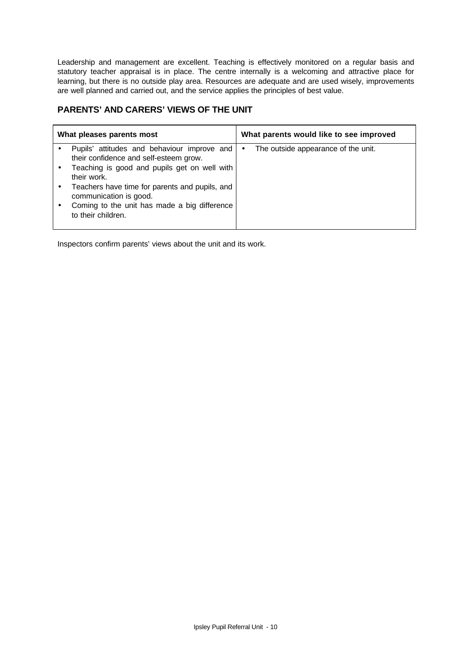Leadership and management are excellent. Teaching is effectively monitored on a regular basis and statutory teacher appraisal is in place. The centre internally is a welcoming and attractive place for learning, but there is no outside play area. Resources are adequate and are used wisely, improvements are well planned and carried out, and the service applies the principles of best value.

# **PARENTS' AND CARERS' VIEWS OF THE UNIT**

| What pleases parents most |                                                                          | What parents would like to see improved  |  |
|---------------------------|--------------------------------------------------------------------------|------------------------------------------|--|
|                           | Pupils' attitudes and behaviour improve and                              | The outside appearance of the unit.<br>٠ |  |
|                           | their confidence and self-esteem grow.                                   |                                          |  |
|                           | Teaching is good and pupils get on well with<br>their work.              |                                          |  |
|                           | Teachers have time for parents and pupils, and<br>communication is good. |                                          |  |
|                           | Coming to the unit has made a big difference<br>to their children.       |                                          |  |

Inspectors confirm parents' views about the unit and its work.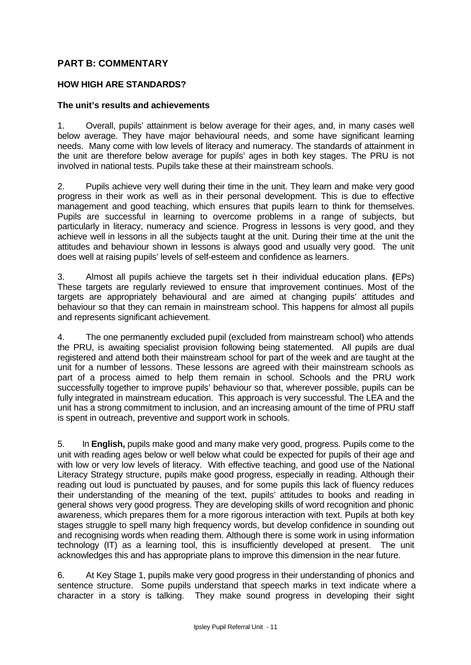# **PART B: COMMENTARY**

## **HOW HIGH ARE STANDARDS?**

#### **The unit's results and achievements**

1. Overall, pupils' attainment is below average for their ages, and, in many cases well below average. They have major behavioural needs, and some have significant learning needs. Many come with low levels of literacy and numeracy. The standards of attainment in the unit are therefore below average for pupils' ages in both key stages. The PRU is not involved in national tests. Pupils take these at their mainstream schools.

2. Pupils achieve very well during their time in the unit. They learn and make very good progress in their work as well as in their personal development. This is due to effective management and good teaching, which ensures that pupils learn to think for themselves. Pupils are successful in learning to overcome problems in a range of subjects, but particularly in literacy, numeracy and science. Progress in lessons is very good, and they achieve well in lessons in all the subjects taught at the unit. During their time at the unit the attitudes and behaviour shown in lessons is always good and usually very good. The unit does well at raising pupils' levels of self-esteem and confidence as learners.

3. Almost all pupils achieve the targets set in their individual education plans. (IEPs) These targets are regularly reviewed to ensure that improvement continues. Most of the targets are appropriately behavioural and are aimed at changing pupils' attitudes and behaviour so that they can remain in mainstream school. This happens for almost all pupils and represents significant achievement.

4. The one permanently excluded pupil (excluded from mainstream school) who attends the PRU, is awaiting specialist provision following being statemented. All pupils are dual registered and attend both their mainstream school for part of the week and are taught at the unit for a number of lessons. These lessons are agreed with their mainstream schools as part of a process aimed to help them remain in school. Schools and the PRU work successfully together to improve pupils' behaviour so that, wherever possible, pupils can be fully integrated in mainstream education. This approach is very successful. The LEA and the unit has a strong commitment to inclusion, and an increasing amount of the time of PRU staff is spent in outreach, preventive and support work in schools.

5. In **English,** pupils make good and many make very good, progress. Pupils come to the unit with reading ages below or well below what could be expected for pupils of their age and with low or very low levels of literacy. With effective teaching, and good use of the National Literacy Strategy structure, pupils make good progress, especially in reading. Although their reading out loud is punctuated by pauses, and for some pupils this lack of fluency reduces their understanding of the meaning of the text, pupils' attitudes to books and reading in general shows very good progress. They are developing skills of word recognition and phonic awareness, which prepares them for a more rigorous interaction with text. Pupils at both key stages struggle to spell many high frequency words, but develop confidence in sounding out and recognising words when reading them. Although there is some work in using information technology (IT) as a learning tool, this is insufficiently developed at present. The unit acknowledges this and has appropriate plans to improve this dimension in the near future.

6. At Key Stage 1, pupils make very good progress in their understanding of phonics and sentence structure. Some pupils understand that speech marks in text indicate where a character in a story is talking. They make sound progress in developing their sight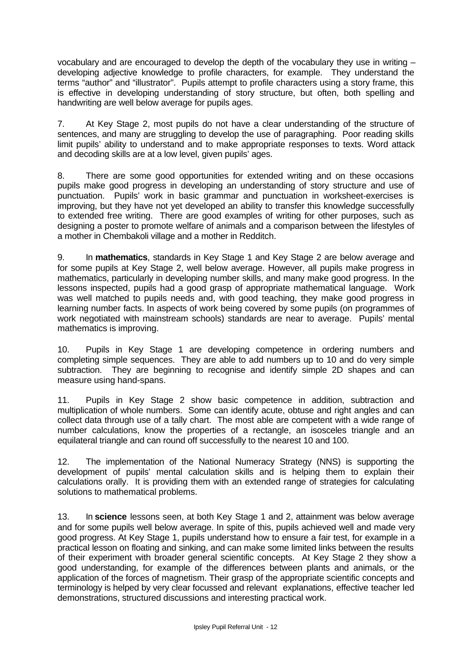vocabulary and are encouraged to develop the depth of the vocabulary they use in writing – developing adjective knowledge to profile characters, for example. They understand the terms "author" and "illustrator". Pupils attempt to profile characters using a story frame, this is effective in developing understanding of story structure, but often, both spelling and handwriting are well below average for pupils ages.

7. At Key Stage 2, most pupils do not have a clear understanding of the structure of sentences, and many are struggling to develop the use of paragraphing. Poor reading skills limit pupils' ability to understand and to make appropriate responses to texts. Word attack and decoding skills are at a low level, given pupils' ages.

8. There are some good opportunities for extended writing and on these occasions pupils make good progress in developing an understanding of story structure and use of punctuation. Pupils' work in basic grammar and punctuation in worksheet-exercises is improving, but they have not yet developed an ability to transfer this knowledge successfully to extended free writing. There are good examples of writing for other purposes, such as designing a poster to promote welfare of animals and a comparison between the lifestyles of a mother in Chembakoli village and a mother in Redditch.

9. In **mathematics**, standards in Key Stage 1 and Key Stage 2 are below average and for some pupils at Key Stage 2, well below average. However, all pupils make progress in mathematics, particularly in developing number skills, and many make good progress. In the lessons inspected, pupils had a good grasp of appropriate mathematical language. Work was well matched to pupils needs and, with good teaching, they make good progress in learning number facts. In aspects of work being covered by some pupils (on programmes of work negotiated with mainstream schools) standards are near to average. Pupils' mental mathematics is improving.

10. Pupils in Key Stage 1 are developing competence in ordering numbers and completing simple sequences. They are able to add numbers up to 10 and do very simple subtraction. They are beginning to recognise and identify simple 2D shapes and can measure using hand-spans.

11. Pupils in Key Stage 2 show basic competence in addition, subtraction and multiplication of whole numbers. Some can identify acute, obtuse and right angles and can collect data through use of a tally chart. The most able are competent with a wide range of number calculations, know the properties of a rectangle, an isosceles triangle and an equilateral triangle and can round off successfully to the nearest 10 and 100.

12. The implementation of the National Numeracy Strategy (NNS) is supporting the development of pupils' mental calculation skills and is helping them to explain their calculations orally. It is providing them with an extended range of strategies for calculating solutions to mathematical problems.

13. In **science** lessons seen, at both Key Stage 1 and 2, attainment was below average and for some pupils well below average. In spite of this, pupils achieved well and made very good progress. At Key Stage 1, pupils understand how to ensure a fair test, for example in a practical lesson on floating and sinking, and can make some limited links between the results of their experiment with broader general scientific concepts. At Key Stage 2 they show a good understanding, for example of the differences between plants and animals, or the application of the forces of magnetism. Their grasp of the appropriate scientific concepts and terminology is helped by very clear focussed and relevant explanations, effective teacher led demonstrations, structured discussions and interesting practical work.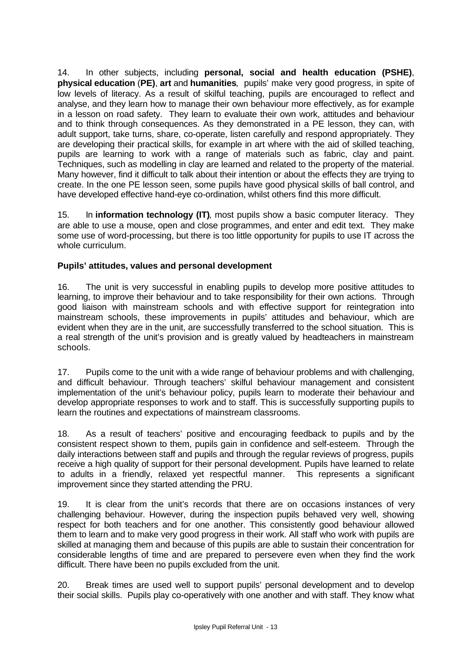14. In other subjects, including **personal, social and health education (PSHE)**, **physical education** (**PE)**, **art** and **humanities**, pupils' make very good progress, in spite of low levels of literacy. As a result of skilful teaching, pupils are encouraged to reflect and analyse, and they learn how to manage their own behaviour more effectively, as for example in a lesson on road safety. They learn to evaluate their own work, attitudes and behaviour and to think through consequences. As they demonstrated in a PE lesson, they can, with adult support, take turns, share, co-operate, listen carefully and respond appropriately. They are developing their practical skills, for example in art where with the aid of skilled teaching, pupils are learning to work with a range of materials such as fabric, clay and paint. Techniques, such as modelling in clay are learned and related to the property of the material. Many however, find it difficult to talk about their intention or about the effects they are trying to create. In the one PE lesson seen, some pupils have good physical skills of ball control, and have developed effective hand-eye co-ordination, whilst others find this more difficult.

15. In **information technology (IT)**, most pupils show a basic computer literacy. They are able to use a mouse, open and close programmes, and enter and edit text. They make some use of word-processing, but there is too little opportunity for pupils to use IT across the whole curriculum.

# **Pupils' attitudes, values and personal development**

16. The unit is very successful in enabling pupils to develop more positive attitudes to learning, to improve their behaviour and to take responsibility for their own actions. Through good liaison with mainstream schools and with effective support for reintegration into mainstream schools, these improvements in pupils' attitudes and behaviour, which are evident when they are in the unit, are successfully transferred to the school situation. This is a real strength of the unit's provision and is greatly valued by headteachers in mainstream schools.

17. Pupils come to the unit with a wide range of behaviour problems and with challenging, and difficult behaviour. Through teachers' skilful behaviour management and consistent implementation of the unit's behaviour policy, pupils learn to moderate their behaviour and develop appropriate responses to work and to staff. This is successfully supporting pupils to learn the routines and expectations of mainstream classrooms.

18. As a result of teachers' positive and encouraging feedback to pupils and by the consistent respect shown to them, pupils gain in confidence and self-esteem. Through the daily interactions between staff and pupils and through the regular reviews of progress, pupils receive a high quality of support for their personal development. Pupils have learned to relate to adults in a friendly, relaxed yet respectful manner. This represents a significant improvement since they started attending the PRU.

19. It is clear from the unit's records that there are on occasions instances of very challenging behaviour. However, during the inspection pupils behaved very well, showing respect for both teachers and for one another. This consistently good behaviour allowed them to learn and to make very good progress in their work. All staff who work with pupils are skilled at managing them and because of this pupils are able to sustain their concentration for considerable lengths of time and are prepared to persevere even when they find the work difficult. There have been no pupils excluded from the unit.

20. Break times are used well to support pupils' personal development and to develop their social skills. Pupils play co-operatively with one another and with staff. They know what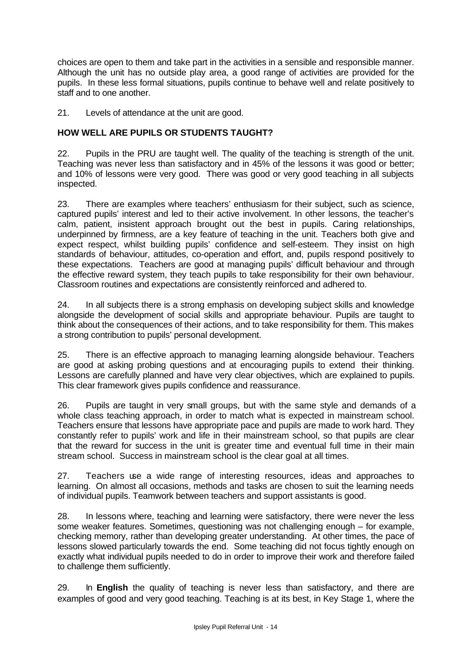choices are open to them and take part in the activities in a sensible and responsible manner. Although the unit has no outside play area, a good range of activities are provided for the pupils. In these less formal situations, pupils continue to behave well and relate positively to staff and to one another.

21. Levels of attendance at the unit are good.

# **HOW WELL ARE PUPILS OR STUDENTS TAUGHT?**

22. Pupils in the PRU are taught well. The quality of the teaching is strength of the unit. Teaching was never less than satisfactory and in 45% of the lessons it was good or better; and 10% of lessons were very good. There was good or very good teaching in all subjects inspected.

23. There are examples where teachers' enthusiasm for their subject, such as science, captured pupils' interest and led to their active involvement. In other lessons, the teacher's calm, patient, insistent approach brought out the best in pupils. Caring relationships, underpinned by firmness, are a key feature of teaching in the unit. Teachers both give and expect respect, whilst building pupils' confidence and self-esteem. They insist on high standards of behaviour, attitudes, co-operation and effort, and, pupils respond positively to these expectations. Teachers are good at managing pupils' difficult behaviour and through the effective reward system, they teach pupils to take responsibility for their own behaviour. Classroom routines and expectations are consistently reinforced and adhered to.

24. In all subjects there is a strong emphasis on developing subject skills and knowledge alongside the development of social skills and appropriate behaviour. Pupils are taught to think about the consequences of their actions, and to take responsibility for them. This makes a strong contribution to pupils' personal development.

25. There is an effective approach to managing learning alongside behaviour. Teachers are good at asking probing questions and at encouraging pupils to extend their thinking. Lessons are carefully planned and have very clear objectives, which are explained to pupils. This clear framework gives pupils confidence and reassurance.

26. Pupils are taught in very small groups, but with the same style and demands of a whole class teaching approach, in order to match what is expected in mainstream school. Teachers ensure that lessons have appropriate pace and pupils are made to work hard. They constantly refer to pupils' work and life in their mainstream school, so that pupils are clear that the reward for success in the unit is greater time and eventual full time in their main stream school. Success in mainstream school is the clear goal at all times.

27. Teachers use a wide range of interesting resources, ideas and approaches to learning. On almost all occasions, methods and tasks are chosen to suit the learning needs of individual pupils. Teamwork between teachers and support assistants is good.

28. In lessons where, teaching and learning were satisfactory, there were never the less some weaker features. Sometimes, questioning was not challenging enough – for example, checking memory, rather than developing greater understanding. At other times, the pace of lessons slowed particularly towards the end. Some teaching did not focus tightly enough on exactly what individual pupils needed to do in order to improve their work and therefore failed to challenge them sufficiently.

29. In **English** the quality of teaching is never less than satisfactory, and there are examples of good and very good teaching. Teaching is at its best, in Key Stage 1, where the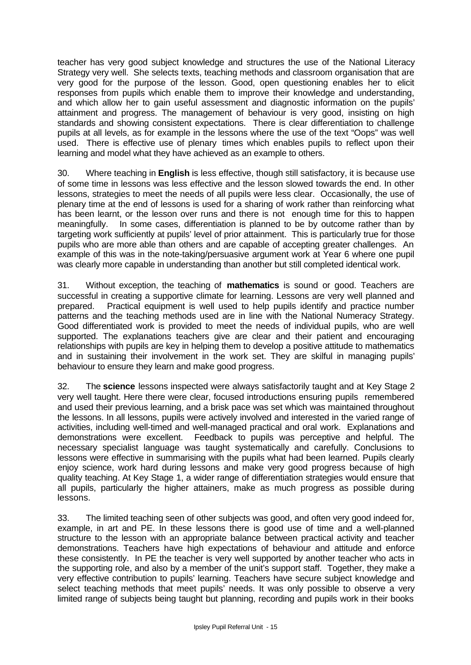teacher has very good subject knowledge and structures the use of the National Literacy Strategy very well. She selects texts, teaching methods and classroom organisation that are very good for the purpose of the lesson. Good, open questioning enables her to elicit responses from pupils which enable them to improve their knowledge and understanding, and which allow her to gain useful assessment and diagnostic information on the pupils' attainment and progress. The management of behaviour is very good, insisting on high standards and showing consistent expectations. There is clear differentiation to challenge pupils at all levels, as for example in the lessons where the use of the text "Oops" was well used. There is effective use of plenary times which enables pupils to reflect upon their learning and model what they have achieved as an example to others.

30. Where teaching in **English** is less effective, though still satisfactory, it is because use of some time in lessons was less effective and the lesson slowed towards the end. In other lessons, strategies to meet the needs of all pupils were less clear. Occasionally, the use of plenary time at the end of lessons is used for a sharing of work rather than reinforcing what has been learnt, or the lesson over runs and there is not enough time for this to happen meaningfully. In some cases, differentiation is planned to be by outcome rather than by targeting work sufficiently at pupils' level of prior attainment. This is particularly true for those pupils who are more able than others and are capable of accepting greater challenges. An example of this was in the note-taking/persuasive argument work at Year 6 where one pupil was clearly more capable in understanding than another but still completed identical work.

31. Without exception, the teaching of **mathematics** is sound or good. Teachers are successful in creating a supportive climate for learning. Lessons are very well planned and prepared. Practical equipment is well used to help pupils identify and practice number patterns and the teaching methods used are in line with the National Numeracy Strategy. Good differentiated work is provided to meet the needs of individual pupils, who are well supported. The explanations teachers give are clear and their patient and encouraging relationships with pupils are key in helping them to develop a positive attitude to mathematics and in sustaining their involvement in the work set. They are skilful in managing pupils' behaviour to ensure they learn and make good progress.

32. The **science** lessons inspected were always satisfactorily taught and at Key Stage 2 very well taught. Here there were clear, focused introductions ensuring pupils remembered and used their previous learning, and a brisk pace was set which was maintained throughout the lessons. In all lessons, pupils were actively involved and interested in the varied range of activities, including well-timed and well-managed practical and oral work. Explanations and demonstrations were excellent. Feedback to pupils was perceptive and helpful. The necessary specialist language was taught systematically and carefully. Conclusions to lessons were effective in summarising with the pupils what had been learned. Pupils clearly enjoy science, work hard during lessons and make very good progress because of high quality teaching. At Key Stage 1, a wider range of differentiation strategies would ensure that all pupils, particularly the higher attainers, make as much progress as possible during lessons.

33. The limited teaching seen of other subjects was good, and often very good indeed for, example, in art and PE. In these lessons there is good use of time and a well-planned structure to the lesson with an appropriate balance between practical activity and teacher demonstrations. Teachers have high expectations of behaviour and attitude and enforce these consistently. In PE the teacher is very well supported by another teacher who acts in the supporting role, and also by a member of the unit's support staff. Together, they make a very effective contribution to pupils' learning. Teachers have secure subject knowledge and select teaching methods that meet pupils' needs. It was only possible to observe a very limited range of subjects being taught but planning, recording and pupils work in their books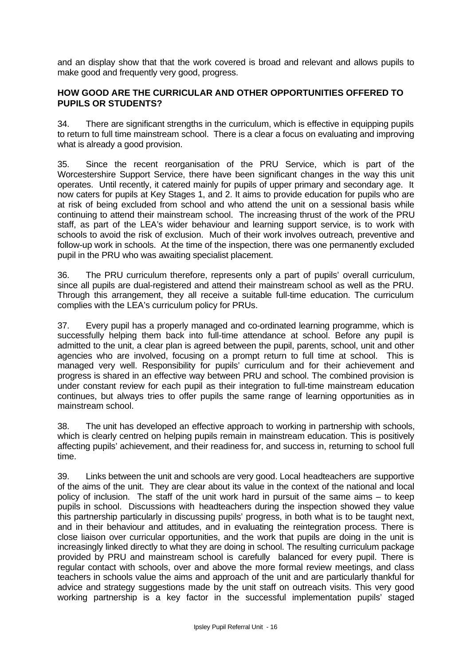and an display show that that the work covered is broad and relevant and allows pupils to make good and frequently very good, progress.

## **HOW GOOD ARE THE CURRICULAR AND OTHER OPPORTUNITIES OFFERED TO PUPILS OR STUDENTS?**

34. There are significant strengths in the curriculum, which is effective in equipping pupils to return to full time mainstream school. There is a clear a focus on evaluating and improving what is already a good provision.

35. Since the recent reorganisation of the PRU Service, which is part of the Worcestershire Support Service, there have been significant changes in the way this unit operates. Until recently, it catered mainly for pupils of upper primary and secondary age. It now caters for pupils at Key Stages 1, and 2. It aims to provide education for pupils who are at risk of being excluded from school and who attend the unit on a sessional basis while continuing to attend their mainstream school. The increasing thrust of the work of the PRU staff, as part of the LEA's wider behaviour and learning support service, is to work with schools to avoid the risk of exclusion. Much of their work involves outreach, preventive and follow-up work in schools. At the time of the inspection, there was one permanently excluded pupil in the PRU who was awaiting specialist placement.

36. The PRU curriculum therefore, represents only a part of pupils' overall curriculum, since all pupils are dual-registered and attend their mainstream school as well as the PRU. Through this arrangement, they all receive a suitable full-time education. The curriculum complies with the LEA's curriculum policy for PRUs.

37. Every pupil has a properly managed and co-ordinated learning programme, which is successfully helping them back into full-time attendance at school. Before any pupil is admitted to the unit, a clear plan is agreed between the pupil, parents, school, unit and other agencies who are involved, focusing on a prompt return to full time at school. This is managed very well. Responsibility for pupils' curriculum and for their achievement and progress is shared in an effective way between PRU and school. The combined provision is under constant review for each pupil as their integration to full-time mainstream education continues, but always tries to offer pupils the same range of learning opportunities as in mainstream school.

38. The unit has developed an effective approach to working in partnership with schools, which is clearly centred on helping pupils remain in mainstream education. This is positively affecting pupils' achievement, and their readiness for, and success in, returning to school full time.

39. Links between the unit and schools are very good. Local headteachers are supportive of the aims of the unit. They are clear about its value in the context of the national and local policy of inclusion. The staff of the unit work hard in pursuit of the same aims – to keep pupils in school. Discussions with headteachers during the inspection showed they value this partnership particularly in discussing pupils' progress, in both what is to be taught next, and in their behaviour and attitudes, and in evaluating the reintegration process. There is close liaison over curricular opportunities, and the work that pupils are doing in the unit is increasingly linked directly to what they are doing in school. The resulting curriculum package provided by PRU and mainstream school is carefully balanced for every pupil. There is regular contact with schools, over and above the more formal review meetings, and class teachers in schools value the aims and approach of the unit and are particularly thankful for advice and strategy suggestions made by the unit staff on outreach visits. This very good working partnership is a key factor in the successful implementation pupils' staged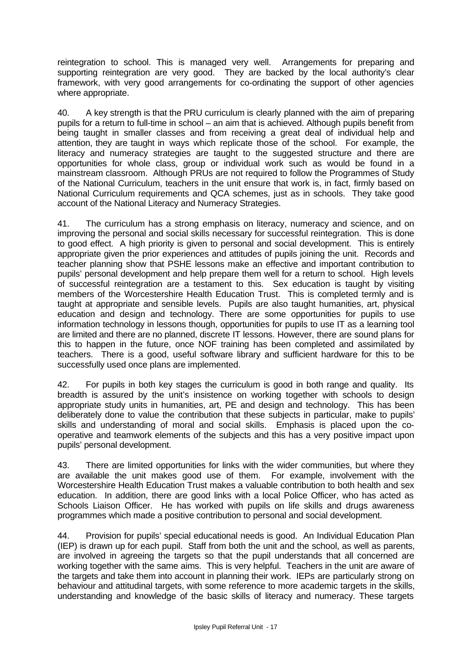reintegration to school. This is managed very well. Arrangements for preparing and supporting reintegration are very good. They are backed by the local authority's clear framework, with very good arrangements for co-ordinating the support of other agencies where appropriate.

40. A key strength is that the PRU curriculum is clearly planned with the aim of preparing pupils for a return to full-time in school – an aim that is achieved. Although pupils benefit from being taught in smaller classes and from receiving a great deal of individual help and attention, they are taught in ways which replicate those of the school. For example, the literacy and numeracy strategies are taught to the suggested structure and there are opportunities for whole class, group or individual work such as would be found in a mainstream classroom. Although PRUs are not required to follow the Programmes of Study of the National Curriculum, teachers in the unit ensure that work is, in fact, firmly based on National Curriculum requirements and QCA schemes, just as in schools. They take good account of the National Literacy and Numeracy Strategies.

41. The curriculum has a strong emphasis on literacy, numeracy and science, and on improving the personal and social skills necessary for successful reintegration. This is done to good effect. A high priority is given to personal and social development. This is entirely appropriate given the prior experiences and attitudes of pupils joining the unit. Records and teacher planning show that PSHE lessons make an effective and important contribution to pupils' personal development and help prepare them well for a return to school. High levels of successful reintegration are a testament to this. Sex education is taught by visiting members of the Worcestershire Health Education Trust. This is completed termly and is taught at appropriate and sensible levels. Pupils are also taught humanities, art, physical education and design and technology. There are some opportunities for pupils to use information technology in lessons though, opportunities for pupils to use IT as a learning tool are limited and there are no planned, discrete IT lessons. However, there are sound plans for this to happen in the future, once NOF training has been completed and assimilated by teachers. There is a good, useful software library and sufficient hardware for this to be successfully used once plans are implemented.

42. For pupils in both key stages the curriculum is good in both range and quality. Its breadth is assured by the unit's insistence on working together with schools to design appropriate study units in humanities, art, PE and design and technology. This has been deliberately done to value the contribution that these subjects in particular, make to pupils' skills and understanding of moral and social skills. Emphasis is placed upon the cooperative and teamwork elements of the subjects and this has a very positive impact upon pupils' personal development.

43. There are limited opportunities for links with the wider communities, but where they are available the unit makes good use of them. For example, involvement with the Worcestershire Health Education Trust makes a valuable contribution to both health and sex education. In addition, there are good links with a local Police Officer, who has acted as Schools Liaison Officer. He has worked with pupils on life skills and drugs awareness programmes which made a positive contribution to personal and social development.

44. Provision for pupils' special educational needs is good. An Individual Education Plan (IEP) is drawn up for each pupil. Staff from both the unit and the school, as well as parents, are involved in agreeing the targets so that the pupil understands that all concerned are working together with the same aims. This is very helpful. Teachers in the unit are aware of the targets and take them into account in planning their work. IEPs are particularly strong on behaviour and attitudinal targets, with some reference to more academic targets in the skills, understanding and knowledge of the basic skills of literacy and numeracy. These targets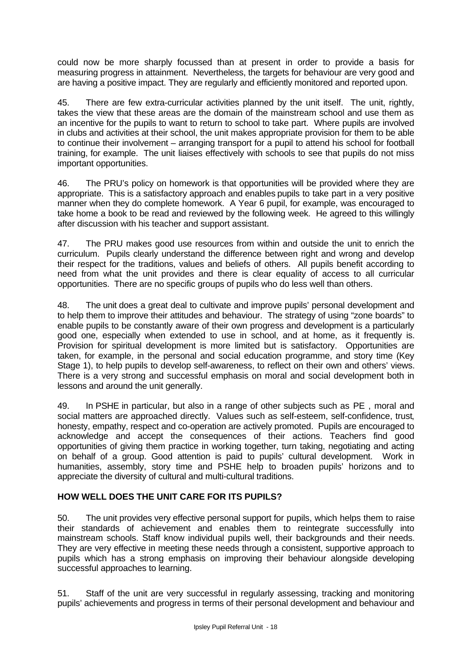could now be more sharply focussed than at present in order to provide a basis for measuring progress in attainment. Nevertheless, the targets for behaviour are very good and are having a positive impact. They are regularly and efficiently monitored and reported upon.

45. There are few extra-curricular activities planned by the unit itself. The unit, rightly, takes the view that these areas are the domain of the mainstream school and use them as an incentive for the pupils to want to return to school to take part. Where pupils are involved in clubs and activities at their school, the unit makes appropriate provision for them to be able to continue their involvement – arranging transport for a pupil to attend his school for football training, for example. The unit liaises effectively with schools to see that pupils do not miss important opportunities.

46. The PRU's policy on homework is that opportunities will be provided where they are appropriate. This is a satisfactory approach and enables pupils to take part in a very positive manner when they do complete homework. A Year 6 pupil, for example, was encouraged to take home a book to be read and reviewed by the following week. He agreed to this willingly after discussion with his teacher and support assistant.

47. The PRU makes good use resources from within and outside the unit to enrich the curriculum. Pupils clearly understand the difference between right and wrong and develop their respect for the traditions, values and beliefs of others. All pupils benefit according to need from what the unit provides and there is clear equality of access to all curricular opportunities. There are no specific groups of pupils who do less well than others.

48. The unit does a great deal to cultivate and improve pupils' personal development and to help them to improve their attitudes and behaviour. The strategy of using "zone boards" to enable pupils to be constantly aware of their own progress and development is a particularly good one, especially when extended to use in school, and at home, as it frequently is. Provision for spiritual development is more limited but is satisfactory. Opportunities are taken, for example, in the personal and social education programme, and story time (Key Stage 1), to help pupils to develop self-awareness, to reflect on their own and others' views. There is a very strong and successful emphasis on moral and social development both in lessons and around the unit generally.

49. In PSHE in particular, but also in a range of other subjects such as PE , moral and social matters are approached directly. Values such as self-esteem, self-confidence, trust, honesty, empathy, respect and co-operation are actively promoted. Pupils are encouraged to acknowledge and accept the consequences of their actions. Teachers find good opportunities of giving them practice in working together, turn taking, negotiating and acting on behalf of a group. Good attention is paid to pupils' cultural development. Work in humanities, assembly, story time and PSHE help to broaden pupils' horizons and to appreciate the diversity of cultural and multi-cultural traditions.

# **HOW WELL DOES THE UNIT CARE FOR ITS PUPILS?**

50. The unit provides very effective personal support for pupils, which helps them to raise their standards of achievement and enables them to reintegrate successfully into mainstream schools. Staff know individual pupils well, their backgrounds and their needs. They are very effective in meeting these needs through a consistent, supportive approach to pupils which has a strong emphasis on improving their behaviour alongside developing successful approaches to learning.

51. Staff of the unit are very successful in regularly assessing, tracking and monitoring pupils' achievements and progress in terms of their personal development and behaviour and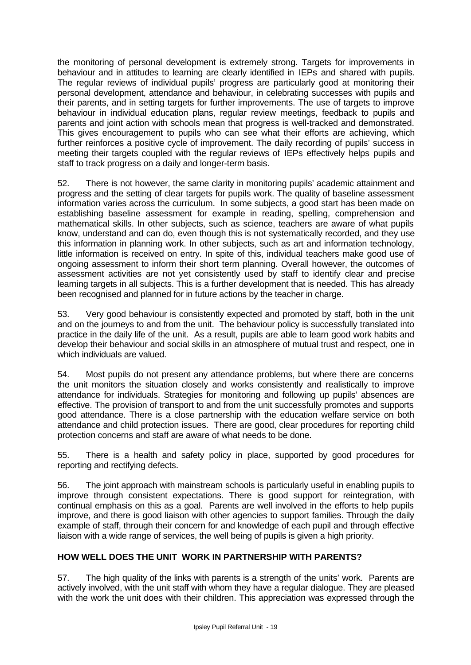the monitoring of personal development is extremely strong. Targets for improvements in behaviour and in attitudes to learning are clearly identified in IEPs and shared with pupils. The regular reviews of individual pupils' progress are particularly good at monitoring their personal development, attendance and behaviour, in celebrating successes with pupils and their parents, and in setting targets for further improvements. The use of targets to improve behaviour in individual education plans, regular review meetings, feedback to pupils and parents and joint action with schools mean that progress is well-tracked and demonstrated. This gives encouragement to pupils who can see what their efforts are achieving, which further reinforces a positive cycle of improvement. The daily recording of pupils' success in meeting their targets coupled with the regular reviews of IEPs effectively helps pupils and staff to track progress on a daily and longer-term basis.

52. There is not however, the same clarity in monitoring pupils' academic attainment and progress and the setting of clear targets for pupils work. The quality of baseline assessment information varies across the curriculum. In some subjects, a good start has been made on establishing baseline assessment for example in reading, spelling, comprehension and mathematical skills. In other subjects, such as science, teachers are aware of what pupils know, understand and can do, even though this is not systematically recorded, and they use this information in planning work. In other subjects, such as art and information technology, little information is received on entry. In spite of this, individual teachers make good use of ongoing assessment to inform their short term planning. Overall however, the outcomes of assessment activities are not yet consistently used by staff to identify clear and precise learning targets in all subjects. This is a further development that is needed. This has already been recognised and planned for in future actions by the teacher in charge.

53. Very good behaviour is consistently expected and promoted by staff, both in the unit and on the journeys to and from the unit. The behaviour policy is successfully translated into practice in the daily life of the unit. As a result, pupils are able to learn good work habits and develop their behaviour and social skills in an atmosphere of mutual trust and respect, one in which individuals are valued.

54. Most pupils do not present any attendance problems, but where there are concerns the unit monitors the situation closely and works consistently and realistically to improve attendance for individuals. Strategies for monitoring and following up pupils' absences are effective. The provision of transport to and from the unit successfully promotes and supports good attendance. There is a close partnership with the education welfare service on both attendance and child protection issues. There are good, clear procedures for reporting child protection concerns and staff are aware of what needs to be done.

55. There is a health and safety policy in place, supported by good procedures for reporting and rectifying defects.

56. The joint approach with mainstream schools is particularly useful in enabling pupils to improve through consistent expectations. There is good support for reintegration, with continual emphasis on this as a goal. Parents are well involved in the efforts to help pupils improve, and there is good liaison with other agencies to support families. Through the daily example of staff, through their concern for and knowledge of each pupil and through effective liaison with a wide range of services, the well being of pupils is given a high priority.

# **HOW WELL DOES THE UNIT WORK IN PARTNERSHIP WITH PARENTS?**

57. The high quality of the links with parents is a strength of the units' work. Parents are actively involved, with the unit staff with whom they have a regular dialogue. They are pleased with the work the unit does with their children. This appreciation was expressed through the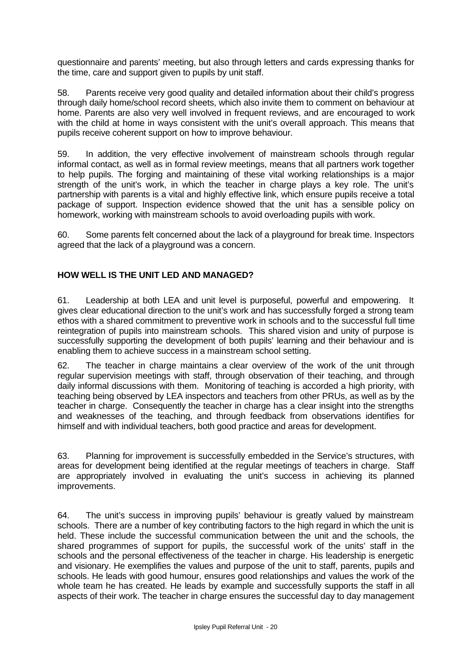questionnaire and parents' meeting, but also through letters and cards expressing thanks for the time, care and support given to pupils by unit staff.

58. Parents receive very good quality and detailed information about their child's progress through daily home/school record sheets, which also invite them to comment on behaviour at home. Parents are also very well involved in frequent reviews, and are encouraged to work with the child at home in ways consistent with the unit's overall approach. This means that pupils receive coherent support on how to improve behaviour.

59. In addition, the very effective involvement of mainstream schools through regular informal contact, as well as in formal review meetings, means that all partners work together to help pupils. The forging and maintaining of these vital working relationships is a major strength of the unit's work, in which the teacher in charge plays a key role. The unit's partnership with parents is a vital and highly effective link, which ensure pupils receive a total package of support. Inspection evidence showed that the unit has a sensible policy on homework, working with mainstream schools to avoid overloading pupils with work.

60. Some parents felt concerned about the lack of a playground for break time. Inspectors agreed that the lack of a playground was a concern.

## **HOW WELL IS THE UNIT LED AND MANAGED?**

61. Leadership at both LEA and unit level is purposeful, powerful and empowering. It gives clear educational direction to the unit's work and has successfully forged a strong team ethos with a shared commitment to preventive work in schools and to the successful full time reintegration of pupils into mainstream schools. This shared vision and unity of purpose is successfully supporting the development of both pupils' learning and their behaviour and is enabling them to achieve success in a mainstream school setting.

62. The teacher in charge maintains a clear overview of the work of the unit through regular supervision meetings with staff, through observation of their teaching, and through daily informal discussions with them. Monitoring of teaching is accorded a high priority, with teaching being observed by LEA inspectors and teachers from other PRUs, as well as by the teacher in charge. Consequently the teacher in charge has a clear insight into the strengths and weaknesses of the teaching, and through feedback from observations identifies for himself and with individual teachers, both good practice and areas for development.

63. Planning for improvement is successfully embedded in the Service's structures, with areas for development being identified at the regular meetings of teachers in charge. Staff are appropriately involved in evaluating the unit's success in achieving its planned improvements.

64. The unit's success in improving pupils' behaviour is greatly valued by mainstream schools. There are a number of key contributing factors to the high regard in which the unit is held. These include the successful communication between the unit and the schools, the shared programmes of support for pupils, the successful work of the units' staff in the schools and the personal effectiveness of the teacher in charge. His leadership is energetic and visionary. He exemplifies the values and purpose of the unit to staff, parents, pupils and schools. He leads with good humour, ensures good relationships and values the work of the whole team he has created. He leads by example and successfully supports the staff in all aspects of their work. The teacher in charge ensures the successful day to day management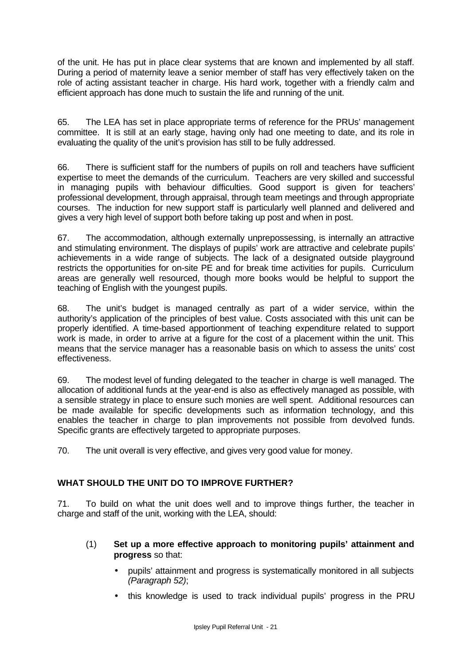of the unit. He has put in place clear systems that are known and implemented by all staff. During a period of maternity leave a senior member of staff has very effectively taken on the role of acting assistant teacher in charge. His hard work, together with a friendly calm and efficient approach has done much to sustain the life and running of the unit.

65. The LEA has set in place appropriate terms of reference for the PRUs' management committee. It is still at an early stage, having only had one meeting to date, and its role in evaluating the quality of the unit's provision has still to be fully addressed.

66. There is sufficient staff for the numbers of pupils on roll and teachers have sufficient expertise to meet the demands of the curriculum. Teachers are very skilled and successful in managing pupils with behaviour difficulties. Good support is given for teachers' professional development, through appraisal, through team meetings and through appropriate courses. The induction for new support staff is particularly well planned and delivered and gives a very high level of support both before taking up post and when in post.

67. The accommodation, although externally unprepossessing, is internally an attractive and stimulating environment. The displays of pupils' work are attractive and celebrate pupils' achievements in a wide range of subjects. The lack of a designated outside playground restricts the opportunities for on-site PE and for break time activities for pupils. Curriculum areas are generally well resourced, though more books would be helpful to support the teaching of English with the youngest pupils.

68. The unit's budget is managed centrally as part of a wider service, within the authority's application of the principles of best value. Costs associated with this unit can be properly identified. A time-based apportionment of teaching expenditure related to support work is made, in order to arrive at a figure for the cost of a placement within the unit. This means that the service manager has a reasonable basis on which to assess the units' cost effectiveness.

69. The modest level of funding delegated to the teacher in charge is well managed. The allocation of additional funds at the year-end is also as effectively managed as possible, with a sensible strategy in place to ensure such monies are well spent. Additional resources can be made available for specific developments such as information technology, and this enables the teacher in charge to plan improvements not possible from devolved funds. Specific grants are effectively targeted to appropriate purposes.

70. The unit overall is very effective, and gives very good value for money.

# **WHAT SHOULD THE UNIT DO TO IMPROVE FURTHER?**

71. To build on what the unit does well and to improve things further, the teacher in charge and staff of the unit, working with the LEA, should:

- (1) **Set up a more effective approach to monitoring pupils' attainment and progress** so that:
	- pupils' attainment and progress is systematically monitored in all subjects *(Paragraph 52)*;
	- this knowledge is used to track individual pupils' progress in the PRU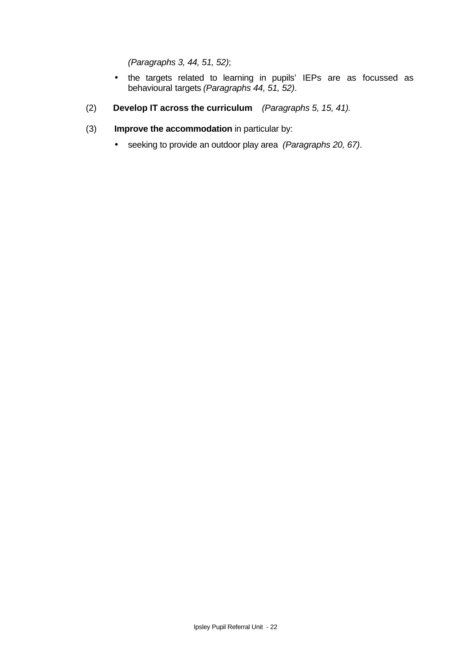*(Paragraphs 3, 44, 51, 52)*;

- the targets related to learning in pupils' IEPs are as focussed as behavioural targets *(Paragraphs 44, 51, 52)*.
- (2) **Develop IT across the curriculum** *(Paragraphs 5, 15, 41).*
- (3) **Improve the accommodation** in particular by:
	- seeking to provide an outdoor play area *(Paragraphs 20, 67)*.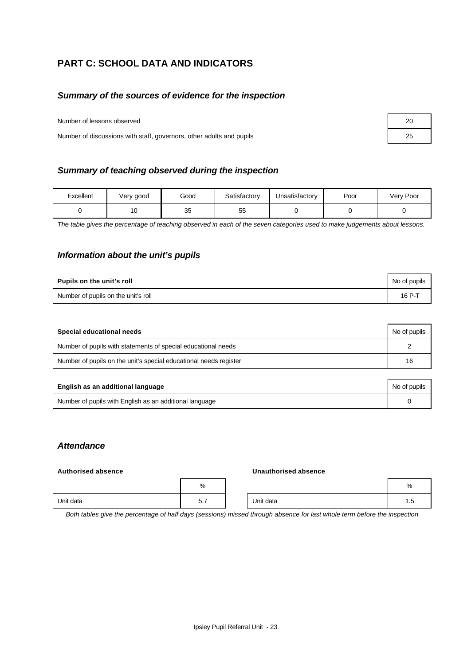# **PART C: SCHOOL DATA AND INDICATORS**

#### *Summary of the sources of evidence for the inspection*

Number of lessons observed

Number of discussions with staff, governors, other adults and pupils

| Excellent | Very good | Good     | Satisfactory | Unsatisfactory | Poor | Very Poor |
|-----------|-----------|----------|--------------|----------------|------|-----------|
|           | 10        | 25<br>ບປ | 55           |                |      |           |

*The table gives the percentage of teaching observed in each of the seven categories used to make judgements about lessons.*

#### *Information about the unit's pupils*

| Pupils on the unit's roll           | No of pupils |
|-------------------------------------|--------------|
| Number of pupils on the unit's roll | 16 P-T       |

| Special educational needs                                         | No of pupils |
|-------------------------------------------------------------------|--------------|
| Number of pupils with statements of special educational needs     |              |
| Number of pupils on the unit's special educational needs register | 16           |

| English as an additional language                       | No of pupils |
|---------------------------------------------------------|--------------|
| Number of pupils with English as an additional language |              |

#### *Attendance*

#### **Authorised absence**

| Unauthorised absence |  |
|----------------------|--|
|----------------------|--|

|           | $\%$                                   |           | %    |
|-----------|----------------------------------------|-----------|------|
| Unit data | -<br>-<br>~<br>$\mathsf{v}.\mathsf{r}$ | Unit data | ن. ا |

*Both tables give the percentage of half days (sessions) missed through absence for last whole term before the inspection*

| 20 |  |
|----|--|
| 25 |  |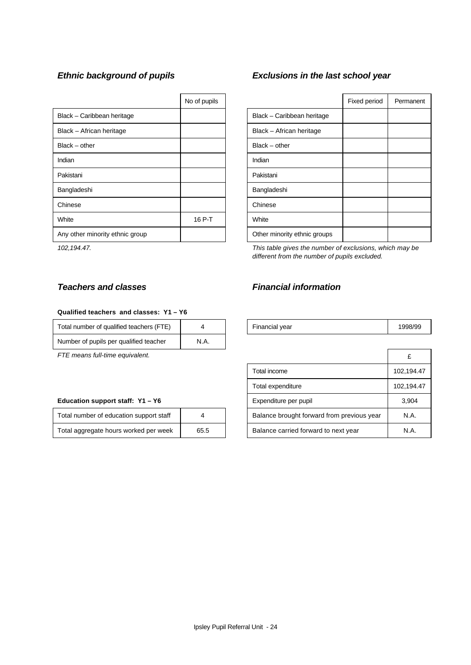|                                 | No of pupils |                              |
|---------------------------------|--------------|------------------------------|
| Black - Caribbean heritage      |              | Black - Caribbean heritage   |
| Black - African heritage        |              | Black - African heritage     |
| Black – other                   |              | Black – other                |
| Indian                          |              | Indian                       |
| Pakistani                       |              | Pakistani                    |
| Bangladeshi                     |              | Bangladeshi                  |
| Chinese                         |              | Chinese                      |
| White                           | 16 P-T       | White                        |
| Any other minority ethnic group |              | Other minority ethnic groups |

#### **Qualified teachers and classes: Y1 – Y6**

| Total number of qualified teachers (FTE) |     |
|------------------------------------------|-----|
| Number of pupils per qualified teacher   | N A |

*FTE means full-time equivalent.* 

#### Education support staff: Y1 - Y6

| Total number of education support staff |      | Balance brought forward from previous year | N.A. |
|-----------------------------------------|------|--------------------------------------------|------|
| Total aggregate hours worked per week   | 65.5 | Balance carried forward to next year       | N.A. |

# *Ethnic background of pupils Exclusions in the last school year*

| No of pupils |                              | Fixed period | Permanent |
|--------------|------------------------------|--------------|-----------|
|              | Black - Caribbean heritage   |              |           |
|              | Black - African heritage     |              |           |
|              | $Black - other$              |              |           |
|              | Indian                       |              |           |
|              | Pakistani                    |              |           |
|              | Bangladeshi                  |              |           |
|              | Chinese                      |              |           |
| 16 P-T       | White                        |              |           |
|              | Other minority ethnic groups |              |           |

*102,194.47. This table gives the number of exclusions, which may be different from the number of pupils excluded.*

# *Teachers and classes Financial information*

| 1.00<br>-----<br>Total number of ‹<br>aualified teachers<br>$\vdash$ |  |  | -<br>Financial vear<br>- - - | 998/99 |
|----------------------------------------------------------------------|--|--|------------------------------|--------|
|----------------------------------------------------------------------|--|--|------------------------------|--------|

|                                            | £          |
|--------------------------------------------|------------|
| Total income                               | 102,194.47 |
| Total expenditure                          | 102,194.47 |
| Expenditure per pupil                      | 3,904      |
| Balance brought forward from previous year | N.A.       |
| Balance carried forward to next year       | N A        |